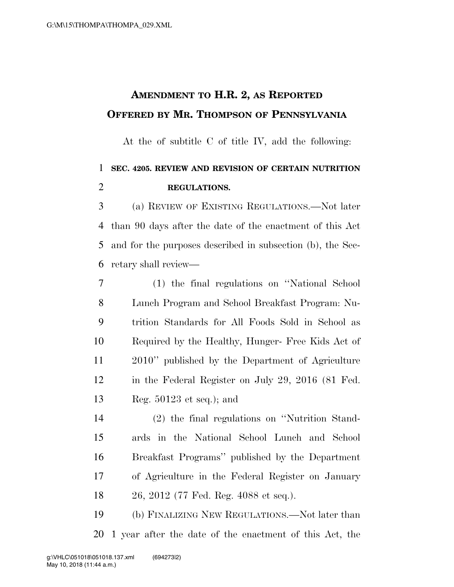## **AMENDMENT TO H.R. 2, AS REPORTED OFFERED BY MR. THOMPSON OF PENNSYLVANIA**

At the of subtitle C of title IV, add the following:

## **SEC. 4205. REVIEW AND REVISION OF CERTAIN NUTRITION REGULATIONS.**

 (a) REVIEW OF EXISTING REGULATIONS.—Not later than 90 days after the date of the enactment of this Act and for the purposes described in subsection (b), the Sec-retary shall review—

 (1) the final regulations on ''National School Lunch Program and School Breakfast Program: Nu- trition Standards for All Foods Sold in School as Required by the Healthy, Hunger- Free Kids Act of 2010'' published by the Department of Agriculture in the Federal Register on July 29, 2016 (81 Fed. Reg. 50123 et seq.); and

 (2) the final regulations on ''Nutrition Stand- ards in the National School Lunch and School Breakfast Programs'' published by the Department of Agriculture in the Federal Register on January 26, 2012 (77 Fed. Reg. 4088 et seq.).

 (b) FINALIZING NEW REGULATIONS.—Not later than 1 year after the date of the enactment of this Act, the